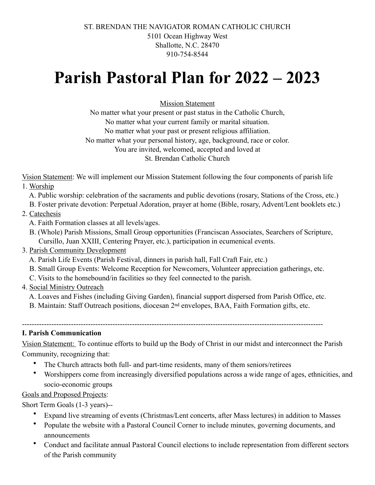ST. BRENDAN THE NAVIGATOR ROMAN CATHOLIC CHURCH 5101 Ocean Highway West Shallotte, N.C. 28470 910-754-8544

# **Parish Pastoral Plan for 2022 – 2023**

Mission Statement

No matter what your present or past status in the Catholic Church, No matter what your current family or marital situation. No matter what your past or present religious affiliation. No matter what your personal history, age, background, race or color. You are invited, welcomed, accepted and loved at St. Brendan Catholic Church

Vision Statement: We will implement our Mission Statement following the four components of parish life

- 1. Worship
	- A. Public worship: celebration of the sacraments and public devotions (rosary, Stations of the Cross, etc.)
	- B. Foster private devotion: Perpetual Adoration, prayer at home (Bible, rosary, Advent/Lent booklets etc.)
- 2. Catechesis
	- A. Faith Formation classes at all levels/ages.
	- B. (Whole) Parish Missions, Small Group opportunities (Franciscan Associates, Searchers of Scripture, Cursillo, Juan XXIII, Centering Prayer, etc.), participation in ecumenical events.
- 3. Parish Community Development
	- A. Parish Life Events (Parish Festival, dinners in parish hall, Fall Craft Fair, etc.)
	- B. Small Group Events: Welcome Reception for Newcomers, Volunteer appreciation gatherings, etc.
	- C. Visits to the homebound/in facilities so they feel connected to the parish.
- 4. Social Ministry Outreach
	- A. Loaves and Fishes (including Giving Garden), financial support dispersed from Parish Office, etc.
	- B. Maintain: Staff Outreach positions, diocesan 2<sup>nd</sup> envelopes, BAA, Faith Formation gifts, etc.

---------------------------------------------------------------------------------------------------------------------------

## **I. Parish Communication**

Vision Statement: To continue efforts to build up the Body of Christ in our midst and interconnect the Parish Community, recognizing that:

- The Church attracts both full- and part-time residents, many of them seniors/retirees
- Worshippers come from increasingly diversified populations across a wide range of ages, ethnicities, and socio-economic groups

# Goals and Proposed Projects:

Short Term Goals (1-3 years)--

- Expand live streaming of events (Christmas/Lent concerts, after Mass lectures) in addition to Masses
- Populate the website with a Pastoral Council Corner to include minutes, governing documents, and announcements
- Conduct and facilitate annual Pastoral Council elections to include representation from different sectors of the Parish community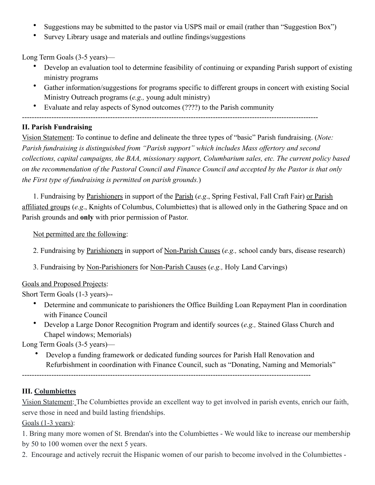- Suggestions may be submitted to the pastor via USPS mail or email (rather than "Suggestion Box")
- Survey Library usage and materials and outline findings/suggestions

Long Term Goals (3-5 years)—

- Develop an evaluation tool to determine feasibility of continuing or expanding Parish support of existing ministry programs
- Gather information/suggestions for programs specific to different groups in concert with existing Social Ministry Outreach programs (*e.g.,* young adult ministry)
- Evaluate and relay aspects of Synod outcomes (????) to the Parish community

 $-$ 

# **II. Parish Fundraising**

Vision Statement: To continue to define and delineate the three types of "basic" Parish fundraising. (*Note: Parish fundraising is distinguished from "Parish support" which includes Mass offertory and second collections, capital campaigns, the BAA, missionary support, Columbarium sales, etc. The current policy based on the recommendation of the Pastoral Council and Finance Council and accepted by the Pastor is that only the First type of fundraising is permitted on parish grounds.*)

1. Fundraising by Parishioners in support of the Parish (*e.g*., Spring Festival, Fall Craft Fair) or Parish affiliated groups (*e.g*., Knights of Columbus, Columbiettes) that is allowed only in the Gathering Space and on Parish grounds and **only** with prior permission of Pastor.

Not permitted are the following:

- 2. Fundraising by Parishioners in support of Non-Parish Causes (*e.g.,* school candy bars, disease research)
- 3. Fundraising by Non-Parishioners for Non-Parish Causes (*e.g.,* Holy Land Carvings)

# Goals and Proposed Projects:

Short Term Goals (1-3 years)--

- Determine and communicate to parishioners the Office Building Loan Repayment Plan in coordination with Finance Council
- Develop a Large Donor Recognition Program and identify sources (*e.g.,* Stained Glass Church and Chapel windows; Memorials)

Long Term Goals (3-5 years)—

• Develop a funding framework or dedicated funding sources for Parish Hall Renovation and Refurbishment in coordination with Finance Council, such as "Donating, Naming and Memorials"

----------------------------------------------------------------------------------------------------------------------

# **III. Columbiettes**

Vision Statement: The Columbiettes provide an excellent way to get involved in parish events, enrich our faith, serve those in need and build lasting friendships.

Goals (1-3 years):

1. Bring many more women of St. Brendan's into the Columbiettes - We would like to increase our membership by 50 to 100 women over the next 5 years.

2. Encourage and actively recruit the Hispanic women of our parish to become involved in the Columbiettes -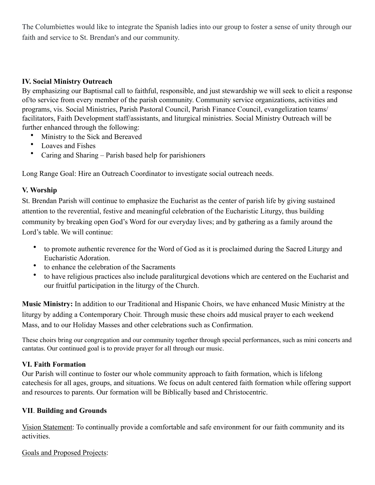The Columbiettes would like to integrate the Spanish ladies into our group to foster a sense of unity through our faith and service to St. Brendan's and our community.

## **IV. Social Ministry Outreach**

By emphasizing our Baptismal call to faithful, responsible, and just stewardship we will seek to elicit a response of/to service from every member of the parish community. Community service organizations, activities and programs, vis. Social Ministries, Parish Pastoral Council, Parish Finance Council, evangelization teams/ facilitators, Faith Development staff/assistants, and liturgical ministries. Social Ministry Outreach will be further enhanced through the following:

- Ministry to the Sick and Bereaved
- Loaves and Fishes
- Caring and Sharing Parish based help for parishioners

Long Range Goal: Hire an Outreach Coordinator to investigate social outreach needs.

## **V. Worship**

St. Brendan Parish will continue to emphasize the Eucharist as the center of parish life by giving sustained attention to the reverential, festive and meaningful celebration of the Eucharistic Liturgy, thus building community by breaking open God's Word for our everyday lives; and by gathering as a family around the Lord's table. We will continue:

- to promote authentic reverence for the Word of God as it is proclaimed during the Sacred Liturgy and Eucharistic Adoration.
- to enhance the celebration of the Sacraments
- to have religious practices also include paraliturgical devotions which are centered on the Eucharist and our fruitful participation in the liturgy of the Church.

**Music Ministry:** In addition to our Traditional and Hispanic Choirs, we have enhanced Music Ministry at the liturgy by adding a Contemporary Choir. Through music these choirs add musical prayer to each weekend Mass, and to our Holiday Masses and other celebrations such as Confirmation.

These choirs bring our congregation and our community together through special performances, such as mini concerts and cantatas. Our continued goal is to provide prayer for all through our music.

## **VI. Faith Formation**

Our Parish will continue to foster our whole community approach to faith formation, which is lifelong catechesis for all ages, groups, and situations. We focus on adult centered faith formation while offering support and resources to parents. Our formation will be Biblically based and Christocentric.

## **VII**. **Building and Grounds**

Vision Statement: To continually provide a comfortable and safe environment for our faith community and its activities.

Goals and Proposed Projects: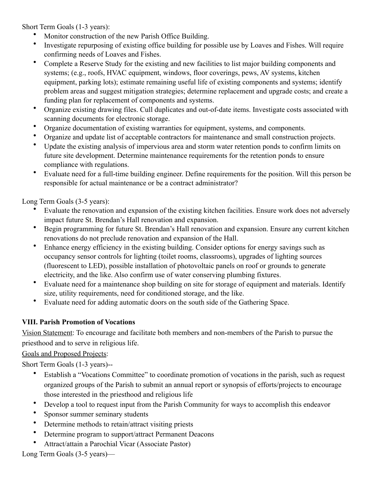Short Term Goals (1-3 years):

- Monitor construction of the new Parish Office Building.
- Investigate repurposing of existing office building for possible use by Loaves and Fishes. Will require confirming needs of Loaves and Fishes.
- Complete a Reserve Study for the existing and new facilities to list major building components and systems; (e.g., roofs, HVAC equipment, windows, floor coverings, pews, AV systems, kitchen equipment, parking lots); estimate remaining useful life of existing components and systems; identify problem areas and suggest mitigation strategies; determine replacement and upgrade costs; and create a funding plan for replacement of components and systems.
- Organize existing drawing files. Cull duplicates and out-of-date items. Investigate costs associated with scanning documents for electronic storage.
- Organize documentation of existing warranties for equipment, systems, and components.
- Organize and update list of acceptable contractors for maintenance and small construction projects.
- Update the existing analysis of impervious area and storm water retention ponds to confirm limits on future site development. Determine maintenance requirements for the retention ponds to ensure compliance with regulations.
- Evaluate need for a full-time building engineer. Define requirements for the position. Will this person be responsible for actual maintenance or be a contract administrator?

Long Term Goals (3-5 years):

- Evaluate the renovation and expansion of the existing kitchen facilities. Ensure work does not adversely impact future St. Brendan's Hall renovation and expansion.
- Begin programming for future St. Brendan's Hall renovation and expansion. Ensure any current kitchen renovations do not preclude renovation and expansion of the Hall.
- Enhance energy efficiency in the existing building. Consider options for energy savings such as occupancy sensor controls for lighting (toilet rooms, classrooms), upgrades of lighting sources (fluorescent to LED), possible installation of photovoltaic panels on roof or grounds to generate electricity, and the like. Also confirm use of water conserving plumbing fixtures.
- Evaluate need for a maintenance shop building on site for storage of equipment and materials. Identify size, utility requirements, need for conditioned storage, and the like.
- Evaluate need for adding automatic doors on the south side of the Gathering Space.

# **VIII. Parish Promotion of Vocations**

Vision Statement: To encourage and facilitate both members and non-members of the Parish to pursue the priesthood and to serve in religious life.

Goals and Proposed Projects:

Short Term Goals (1-3 years)--

- Establish a "Vocations Committee" to coordinate promotion of vocations in the parish, such as request organized groups of the Parish to submit an annual report or synopsis of efforts/projects to encourage those interested in the priesthood and religious life
- Develop a tool to request input from the Parish Community for ways to accomplish this endeavor
- Sponsor summer seminary students
- Determine methods to retain/attract visiting priests
- Determine program to support/attract Permanent Deacons
- Attract/attain a Parochial Vicar (Associate Pastor)

Long Term Goals (3-5 years)—